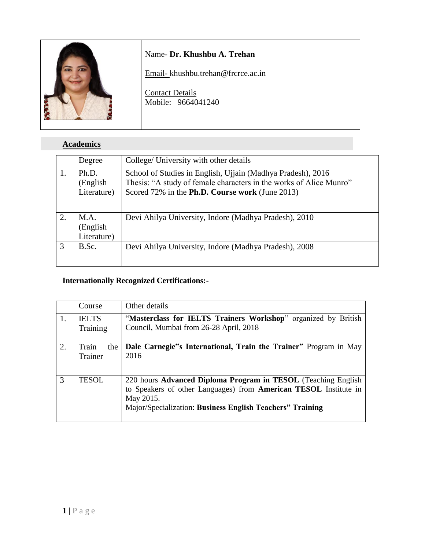

### **Academics**

|    | Degree                           | College/ University with other details                                                                                                                                               |
|----|----------------------------------|--------------------------------------------------------------------------------------------------------------------------------------------------------------------------------------|
|    | Ph.D.<br>(English<br>Literature) | School of Studies in English, Ujjain (Madhya Pradesh), 2016<br>Thesis: "A study of female characters in the works of Alice Munro"<br>Scored 72% in the Ph.D. Course work (June 2013) |
| 2. | M.A.<br>(English<br>Literature)  | Devi Ahilya University, Indore (Madhya Pradesh), 2010                                                                                                                                |
| 3  | B.Sc.                            | Devi Ahilya University, Indore (Madhya Pradesh), 2008                                                                                                                                |

### **Internationally Recognized Certifications:-**

|     | Course                   | Other details                                                                                                                                                                                                                   |
|-----|--------------------------|---------------------------------------------------------------------------------------------------------------------------------------------------------------------------------------------------------------------------------|
| -1. | <b>IELTS</b><br>Training | "Masterclass for IELTS Trainers Workshop" organized by British<br>Council, Mumbai from 26-28 April, 2018                                                                                                                        |
| 2.  | Train<br>the<br>Trainer  | Dale Carnegie"s International, Train the Trainer" Program in May<br>2016                                                                                                                                                        |
| 3   | <b>TESOL</b>             | 220 hours Advanced Diploma Program in TESOL (Teaching English<br>to Speakers of other Languages) from <b>American TESOL</b> Institute in<br>May 2015.<br>Major/Specialization: Business English Teachers <sup>**</sup> Training |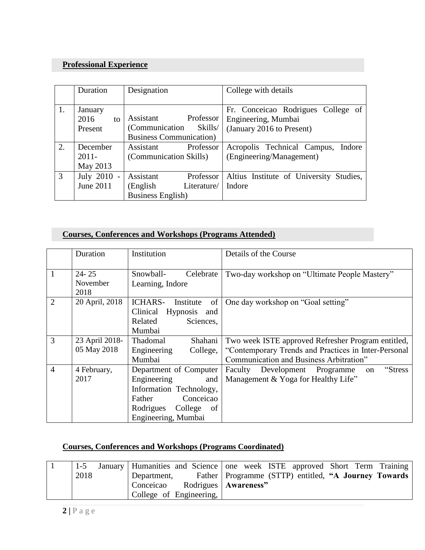## **Professional Experience**

|    | Duration    | Designation                     | College with details                    |
|----|-------------|---------------------------------|-----------------------------------------|
|    |             |                                 |                                         |
| 1. | January     |                                 | Fr. Conceicao Rodrigues College of      |
|    | 2016<br>to  | Assistant<br>Professor          | Engineering, Mumbai                     |
|    | Present     | Skills/<br>(Communication)      | (January 2016 to Present)               |
|    |             | <b>Business Communication</b> ) |                                         |
| 2. | December    | Professor<br>Assistant          | Acropolis Technical Campus,<br>Indore   |
|    | $2011 -$    | (Communication Skills)          | (Engineering/Management)                |
|    | May 2013    |                                 |                                         |
| 3  | July 2010 - | Assistant<br>Professor          | Altius Institute of University Studies, |
|    | June 2011   | Literature/<br>(English)        | Indore                                  |
|    |             | <b>Business English</b> )       |                                         |

### **Courses, Conferences and Workshops (Programs Attended)**

|                | Duration                      | Institution                                                                                                                                                | Details of the Course                                                                                                                                 |
|----------------|-------------------------------|------------------------------------------------------------------------------------------------------------------------------------------------------------|-------------------------------------------------------------------------------------------------------------------------------------------------------|
| 1              | $24 - 25$<br>November<br>2018 | Snowball-<br>Celebrate<br>Learning, Indore                                                                                                                 | Two-day workshop on "Ultimate People Mastery"                                                                                                         |
| $\overline{2}$ | 20 April, 2018                | of<br><b>ICHARS-</b><br>Institute<br>Clinical<br>Hypnosis<br>and<br>Related<br>Sciences,<br>Mumbai                                                         | One day workshop on "Goal setting"                                                                                                                    |
| $\overline{3}$ | 23 April 2018-<br>05 May 2018 | Thadomal<br>Shahani<br>Engineering<br>College,<br>Mumbai                                                                                                   | Two week ISTE approved Refresher Program entitled,<br>"Contemporary Trends and Practices in Inter-Personal<br>Communication and Business Arbitration" |
| $\overline{4}$ | 4 February,<br>2017           | Department of Computer<br>Engineering<br>and<br>Information Technology,<br>Conceicao<br><b>Father</b><br>College<br>Rodrigues<br>of<br>Engineering, Mumbai | "Stress"<br>Faculty<br>Development Programme<br>on<br>Management & Yoga for Healthy Life"                                                             |

## **Courses, Conferences and Workshops (Programs Coordinated)**

|      | January Humanities and Science one week ISTE approved Short Term Training |  |  |  |                                                        |
|------|---------------------------------------------------------------------------|--|--|--|--------------------------------------------------------|
| 2018 | Department,                                                               |  |  |  | Father   Programme (STTP) entitled, "A Journey Towards |
|      | Conceicao Rodrigues   Awareness"                                          |  |  |  |                                                        |
|      | College of Engineering,                                                   |  |  |  |                                                        |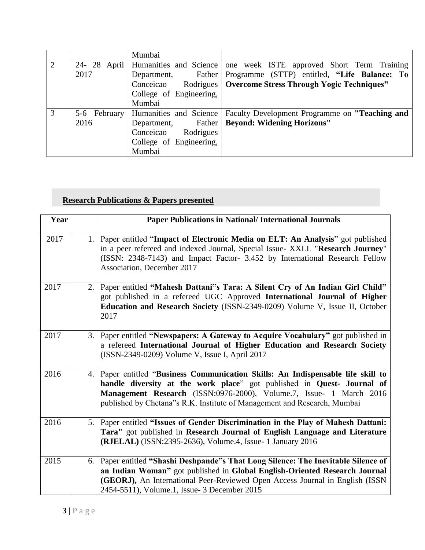|   |      | Mumbai                                |                                                       |
|---|------|---------------------------------------|-------------------------------------------------------|
| 2 |      | 24- 28 April   Humanities and Science | one week ISTE approved Short Term Training            |
|   | 2017 | Father  <br>Department,               | Programme (STTP) entitled, "Life Balance: To          |
|   |      | Conceicao                             | Rodrigues   Overcome Stress Through Yogic Techniques" |
|   |      | College of Engineering,               |                                                       |
|   |      | Mumbai                                |                                                       |
| 3 |      | 5-6 February Humanities and Science   | Faculty Development Programme on "Teaching and        |
|   | 2016 | Father<br>Department,                 | <b>Beyond: Widening Horizons"</b>                     |
|   |      | Conceicao<br>Rodrigues                |                                                       |
|   |      | College of Engineering,               |                                                       |
|   |      | Mumbai                                |                                                       |

# **Research Publications & Papers presented**

| Year |    | <b>Paper Publications in National/International Journals</b>                                                                                                                                                                                                                                               |
|------|----|------------------------------------------------------------------------------------------------------------------------------------------------------------------------------------------------------------------------------------------------------------------------------------------------------------|
| 2017 | 1. | Paper entitled "Impact of Electronic Media on ELT: An Analysis" got published<br>in a peer refereed and indexed Journal, Special Issue- XXLL "Research Journey"<br>(ISSN: 2348-7143) and Impact Factor- 3.452 by International Research Fellow<br>Association, December 2017                               |
| 2017 | 2. | Paper entitled "Mahesh Dattani"s Tara: A Silent Cry of An Indian Girl Child"<br>got published in a refereed UGC Approved International Journal of Higher<br>Education and Research Society (ISSN-2349-0209) Volume V, Issue II, October<br>2017                                                            |
| 2017 | 3. | Paper entitled "Newspapers: A Gateway to Acquire Vocabulary" got published in<br>a refereed International Journal of Higher Education and Research Society<br>(ISSN-2349-0209) Volume V, Issue I, April 2017                                                                                               |
| 2016 | 4. | Paper entitled "Business Communication Skills: An Indispensable life skill to<br>handle diversity at the work place" got published in Quest- Journal of<br>Management Research (ISSN:0976-2000), Volume.7, Issue- 1 March 2016<br>published by Chetana"s R.K. Institute of Management and Research, Mumbai |
| 2016 | 5. | Paper entitled "Issues of Gender Discrimination in the Play of Mahesh Dattani:<br>Tara" got published in Research Journal of English Language and Literature<br>(RJELAL) (ISSN:2395-2636), Volume.4, Issue- 1 January 2016                                                                                 |
| 2015 | 6. | Paper entitled "Shashi Deshpande"s That Long Silence: The Inevitable Silence of<br>an Indian Woman" got published in Global English-Oriented Research Journal<br>(GEORJ), An International Peer-Reviewed Open Access Journal in English (ISSN<br>2454-5511), Volume.1, Issue- 3 December 2015              |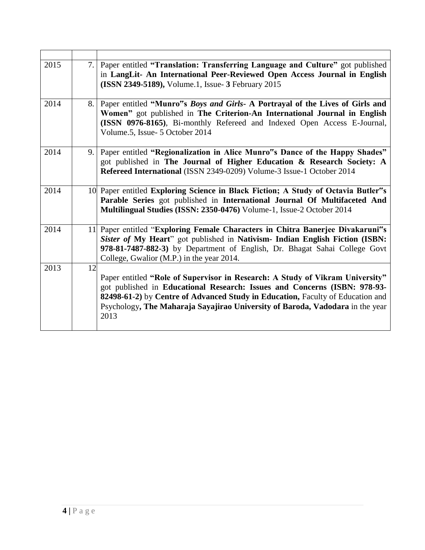| 2015 | 7. | Paper entitled "Translation: Transferring Language and Culture" got published<br>in LangLit- An International Peer-Reviewed Open Access Journal in English<br>(ISSN 2349-5189), Volume.1, Issue- 3 February 2015                                                                                                                      |
|------|----|---------------------------------------------------------------------------------------------------------------------------------------------------------------------------------------------------------------------------------------------------------------------------------------------------------------------------------------|
| 2014 | 8. | Paper entitled "Munro"s Boys and Girls- A Portrayal of the Lives of Girls and<br>Women" got published in The Criterion-An International Journal in English<br>(ISSN 0976-8165), Bi-monthly Refereed and Indexed Open Access E-Journal,<br>Volume.5, Issue- 5 October 2014                                                             |
| 2014 | 9. | Paper entitled "Regionalization in Alice Munro"s Dance of the Happy Shades"<br>got published in The Journal of Higher Education & Research Society: A<br>Refereed International (ISSN 2349-0209) Volume-3 Issue-1 October 2014                                                                                                        |
| 2014 |    | 10 Paper entitled Exploring Science in Black Fiction; A Study of Octavia Butler"s<br>Parable Series got published in International Journal Of Multifaceted And<br>Multilingual Studies (ISSN: 2350-0476) Volume-1, Issue-2 October 2014                                                                                               |
| 2014 |    | 11 Paper entitled "Exploring Female Characters in Chitra Banerjee Divakaruni"s<br>Sister of My Heart" got published in Nativism- Indian English Fiction (ISBN:<br>978-81-7487-882-3) by Department of English, Dr. Bhagat Sahai College Govt<br>College, Gwalior (M.P.) in the year 2014.                                             |
| 2013 | 12 | Paper entitled "Role of Supervisor in Research: A Study of Vikram University"<br>got published in Educational Research: Issues and Concerns (ISBN: 978-93-<br>82498-61-2) by Centre of Advanced Study in Education, Faculty of Education and<br>Psychology, The Maharaja Sayajirao University of Baroda, Vadodara in the year<br>2013 |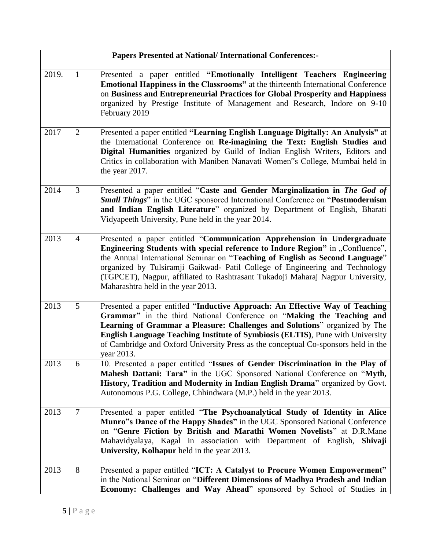|       |                | <b>Papers Presented at National/ International Conferences:-</b>                                                                                                                                                                                                                                                                                                                                                                                   |
|-------|----------------|----------------------------------------------------------------------------------------------------------------------------------------------------------------------------------------------------------------------------------------------------------------------------------------------------------------------------------------------------------------------------------------------------------------------------------------------------|
| 2019. | $\mathbf{1}$   | Presented a paper entitled "Emotionally Intelligent Teachers Engineering<br><b>Emotional Happiness in the Classrooms"</b> at the thirteenth International Conference<br>on Business and Entrepreneurial Practices for Global Prosperity and Happiness<br>organized by Prestige Institute of Management and Research, Indore on 9-10<br>February 2019                                                                                               |
| 2017  | 2              | Presented a paper entitled "Learning English Language Digitally: An Analysis" at<br>the International Conference on Re-imagining the Text: English Studies and<br>Digital Humanities organized by Guild of Indian English Writers, Editors and<br>Critics in collaboration with Maniben Nanavati Women"s College, Mumbai held in<br>the year 2017.                                                                                                 |
| 2014  | 3              | Presented a paper entitled "Caste and Gender Marginalization in The God of<br>Small Things" in the UGC sponsored International Conference on "Postmodernism<br>and Indian English Literature" organized by Department of English, Bharati<br>Vidyapeeth University, Pune held in the year 2014.                                                                                                                                                    |
| 2013  | $\overline{4}$ | Presented a paper entitled "Communication Apprehension in Undergraduate<br>Engineering Students with special reference to Indore Region" in "Confluence",<br>the Annual International Seminar on "Teaching of English as Second Language"<br>organized by Tulsiramji Gaikwad- Patil College of Engineering and Technology<br>(TGPCET), Nagpur, affiliated to Rashtrasant Tukadoji Maharaj Nagpur University,<br>Maharashtra held in the year 2013. |
| 2013  | 5              | Presented a paper entitled "Inductive Approach: An Effective Way of Teaching<br>Grammar" in the third National Conference on "Making the Teaching and<br>Learning of Grammar a Pleasure: Challenges and Solutions" organized by The<br><b>English Language Teaching Institute of Symbiosis (ELTIS), Pune with University</b><br>of Cambridge and Oxford University Press as the conceptual Co-sponsors held in the<br>year 2013.                   |
| 2013  | 6              | 10. Presented a paper entitled "Issues of Gender Discrimination in the Play of<br>Mahesh Dattani: Tara" in the UGC Sponsored National Conference on "Myth,<br>History, Tradition and Modernity in Indian English Drama" organized by Govt.<br>Autonomous P.G. College, Chhindwara (M.P.) held in the year 2013.                                                                                                                                    |
| 2013  | $\overline{7}$ | Presented a paper entitled "The Psychoanalytical Study of Identity in Alice<br>Munro"s Dance of the Happy Shades" in the UGC Sponsored National Conference<br>on "Genre Fiction by British and Marathi Women Novelists" at D.R.Mane<br>Mahavidyalaya, Kagal in association with Department of English, Shivaji<br>University, Kolhapur held in the year 2013.                                                                                      |
| 2013  | 8              | Presented a paper entitled "ICT: A Catalyst to Procure Women Empowerment"<br>in the National Seminar on "Different Dimensions of Madhya Pradesh and Indian<br>Economy: Challenges and Way Ahead" sponsored by School of Studies in                                                                                                                                                                                                                 |